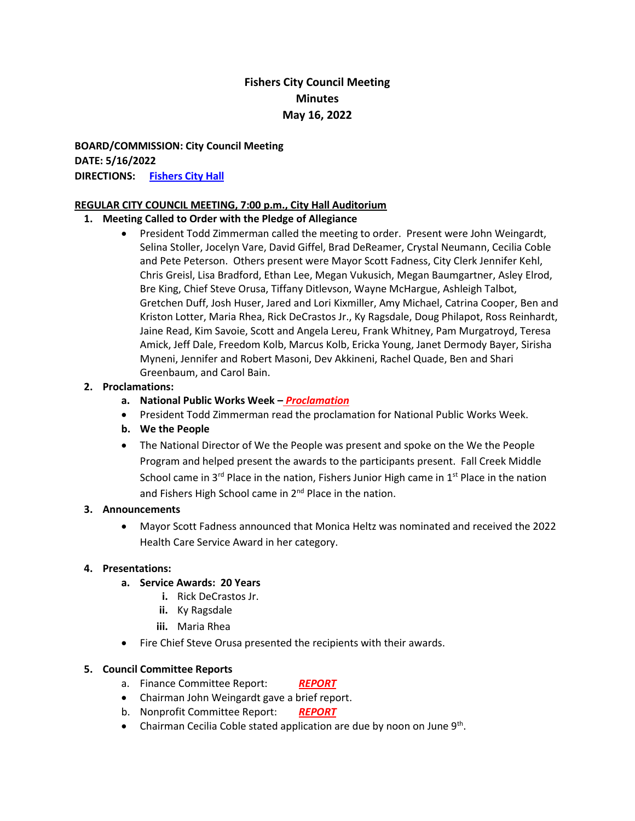### **Fishers City Council Meeting Minutes May 16, 2022**

**BOARD/COMMISSION: City Council Meeting DATE: 5/16/2022 DIRECTIONS: [Fishers City Hall](http://www.fishers.in.us/Facilities/Facility/Details/Fishers-Town-Hall-29)**

#### **REGULAR CITY COUNCIL MEETING, 7:00 p.m., City Hall Auditorium**

#### **1. Meeting Called to Order with the Pledge of Allegiance**

• President Todd Zimmerman called the meeting to order. Present were John Weingardt, Selina Stoller, Jocelyn Vare, David Giffel, Brad DeReamer, Crystal Neumann, Cecilia Coble and Pete Peterson. Others present were Mayor Scott Fadness, City Clerk Jennifer Kehl, Chris Greisl, Lisa Bradford, Ethan Lee, Megan Vukusich, Megan Baumgartner, Asley Elrod, Bre King, Chief Steve Orusa, Tiffany Ditlevson, Wayne McHargue, Ashleigh Talbot, Gretchen Duff, Josh Huser, Jared and Lori Kixmiller, Amy Michael, Catrina Cooper, Ben and Kriston Lotter, Maria Rhea, Rick DeCrastos Jr., Ky Ragsdale, Doug Philapot, Ross Reinhardt, Jaine Read, Kim Savoie, Scott and Angela Lereu, Frank Whitney, Pam Murgatroyd, Teresa Amick, Jeff Dale, Freedom Kolb, Marcus Kolb, Ericka Young, Janet Dermody Bayer, Sirisha Myneni, Jennifer and Robert Masoni, Dev Akkineni, Rachel Quade, Ben and Shari Greenbaum, and Carol Bain.

#### **2. Proclamations:**

- **a. National Public Works Week –** *[Proclamation](https://www.fishers.in.us/DocumentCenter/View/30517/Proclamation---Public-Works---05-16-2022)*
- President Todd Zimmerman read the proclamation for National Public Works Week.
- **b. We the People**
- The National Director of We the People was present and spoke on the We the People Program and helped present the awards to the participants present. Fall Creek Middle School came in  $3^{rd}$  Place in the nation, Fishers Junior High came in  $1^{st}$  Place in the nation and Fishers High School came in 2<sup>nd</sup> Place in the nation.

#### **3. Announcements**

• Mayor Scott Fadness announced that Monica Heltz was nominated and received the 2022 Health Care Service Award in her category.

#### **4. Presentations:**

- **a. Service Awards: 20 Years**
	- **i.** Rick DeCrastos Jr.
	- **ii.** Ky Ragsdale
	- **iii.** Maria Rhea
- Fire Chief Steve Orusa presented the recipients with their awards.

#### **5. Council Committee Reports**

- a. Finance Committee Report: *[REPORT](https://www.fishers.in.us/DocumentCenter/View/30488/Finance-Committee-Meeting-Report---05-16-2022)*
- Chairman John Weingardt gave a brief report.
- b. Nonprofit Committee Report: *[REPORT](https://www.fishers.in.us/DocumentCenter/View/30502/Non-Profit-Committee-Report-April-26-2022---05162022)*
- Chairman Cecilia Coble stated application are due by noon on June  $9<sup>th</sup>$ .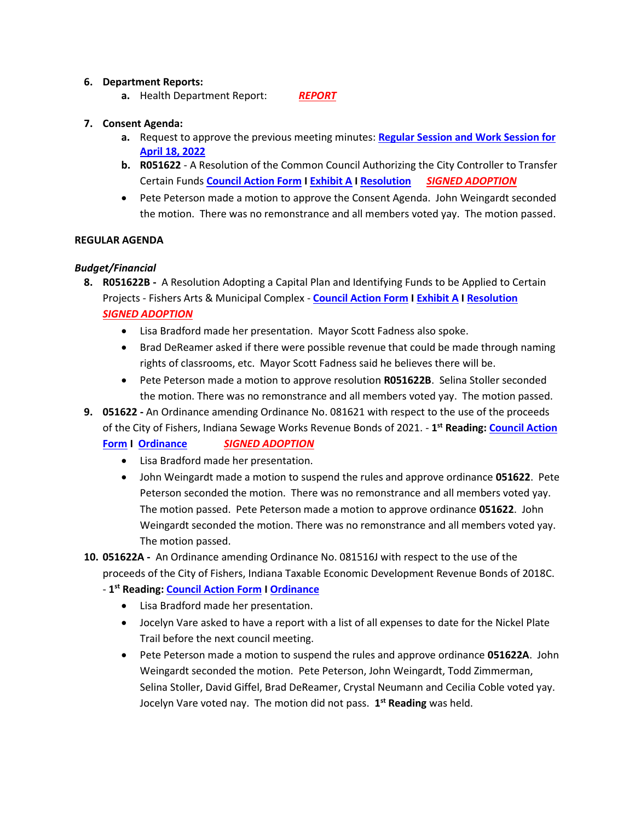#### **6. Department Reports:**

**a.** Health Department Report: *[REPORT](https://www.fishers.in.us/DocumentCenter/View/30506/Health-Department-Update-51622)*

#### **7. Consent Agenda:**

- **a.** Request to approve the previous meeting minutes: **[Regular Session and Work Session for](https://www.fishers.in.us/DocumentCenter/View/30475/Minutes---04-18-2022)  [April 18, 2022](https://www.fishers.in.us/DocumentCenter/View/30475/Minutes---04-18-2022)**
- **b. R051622**  A Resolution of the Common Council Authorizing the City Controller to Transfer Certain Funds **[Council Action Form](https://www.fishers.in.us/DocumentCenter/View/30443/City-Funds-Transfers---Council-Action-Form---R051622) I [Exhibit A](https://www.fishers.in.us/DocumentCenter/View/30444/City-Funds-Transfers---Exhibit-A---R051622) [I Resolution](https://www.fishers.in.us/DocumentCenter/View/30445/City-Funds-Transfers---Resolution---R051622)** *[SIGNED ADOPTION](https://www.fishers.in.us/DocumentCenter/View/30528/Signed-Adoption---City-Funds-Transfers---Resolution---R051622)*
- Pete Peterson made a motion to approve the Consent Agenda. John Weingardt seconded the motion. There was no remonstrance and all members voted yay. The motion passed.

#### **REGULAR AGENDA**

#### *Budget/Financial*

- **8. R051622B** A Resolution Adopting a Capital Plan and Identifying Funds to be Applied to Certain Projects - Fishers Arts & Municipal Complex - **[Council Action Form](https://www.fishers.in.us/DocumentCenter/View/30505/Adopting-Capital-Plan---City-Hall-Project---Council-Action-Form---R051622B) [I Exhibit A](https://www.fishers.in.us/DocumentCenter/View/30481/Adopting-Capital-Plan---City-Hall-Project---Exhibit-A---R051622B) I [Resolution](https://www.fishers.in.us/DocumentCenter/View/30482/Adopting-Capital-Plan---City-Hall-Project---Resolution---R051622B)**  *[SIGNED ADOPTION](https://www.fishers.in.us/DocumentCenter/View/30525/Signed-Adoption---Adopting-Capital-Plan---City-Hall-Project---Resolution---R051622B)*
	- Lisa Bradford made her presentation. Mayor Scott Fadness also spoke.
	- Brad DeReamer asked if there were possible revenue that could be made through naming rights of classrooms, etc. Mayor Scott Fadness said he believes there will be.
	- Pete Peterson made a motion to approve resolution **R051622B**. Selina Stoller seconded the motion. There was no remonstrance and all members voted yay. The motion passed.
- **9. 051622 -** An Ordinance amending Ordinance No. 081621 with respect to the use of the proceeds of the City of Fishers, Indiana Sewage Works Revenue Bonds of 2021. - **1 st Reading[: Council Action](https://www.fishers.in.us/DocumentCenter/View/30486/2021-Sewage-Bonds-Bond-Ordinance-Amendment---Council-Action-Form---051622)**

#### **[Form](https://www.fishers.in.us/DocumentCenter/View/30486/2021-Sewage-Bonds-Bond-Ordinance-Amendment---Council-Action-Form---051622) I [Ordinance](https://www.fishers.in.us/DocumentCenter/View/30487/2021-Sewage-Bonds-Bond-Ordinance-Amendment---Ordinance---051622)** *[SIGNED ADOPTION](https://www.fishers.in.us/DocumentCenter/View/30523/Signed-Adoption---2021-Sewage-Bonds-Bond-Ordinance-Amendment---Ordinance---051622)*

- Lisa Bradford made her presentation.
- John Weingardt made a motion to suspend the rules and approve ordinance **051622**. Pete Peterson seconded the motion. There was no remonstrance and all members voted yay. The motion passed. Pete Peterson made a motion to approve ordinance **051622**. John Weingardt seconded the motion. There was no remonstrance and all members voted yay. The motion passed.
- **10. 051622A** An Ordinance amending Ordinance No. 081516J with respect to the use of the proceeds of the City of Fishers, Indiana Taxable Economic Development Revenue Bonds of 2018C.
	- **1 st Reading[: Council Action Form](https://www.fishers.in.us/DocumentCenter/View/30479/North-of-North-Bonds-Bond-Ordinance-Amendment---Council-Action-Form---051622A) [I Ordinance](https://www.fishers.in.us/DocumentCenter/View/30480/North-of-North-Bonds-Bond-Ordinance-Amendment---Ordinance---051622A)**
		- Lisa Bradford made her presentation.
		- Jocelyn Vare asked to have a report with a list of all expenses to date for the Nickel Plate Trail before the next council meeting.
		- Pete Peterson made a motion to suspend the rules and approve ordinance **051622A**. John Weingardt seconded the motion. Pete Peterson, John Weingardt, Todd Zimmerman, Selina Stoller, David Giffel, Brad DeReamer, Crystal Neumann and Cecilia Coble voted yay. Jocelyn Vare voted nay. The motion did not pass. **1 st Reading** was held.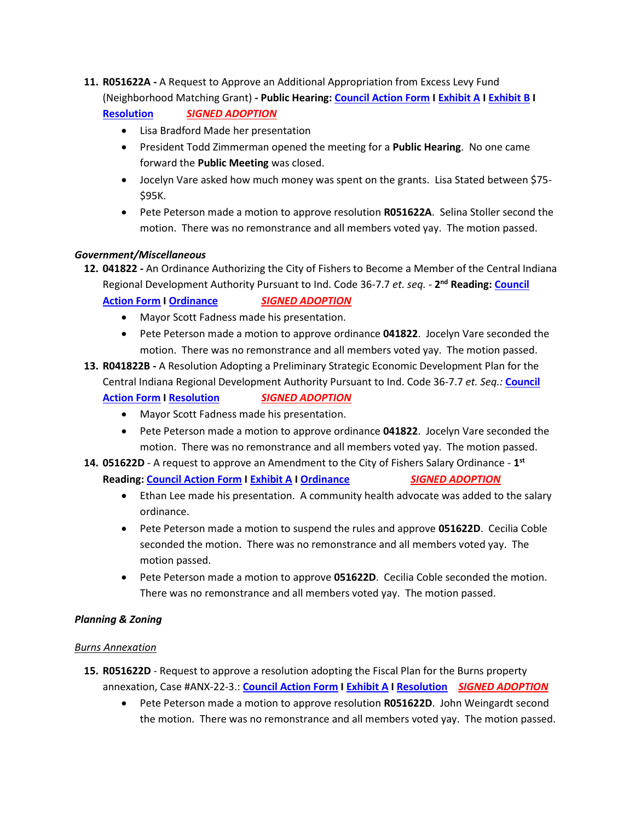- **11. R051622A -** A Request to Approve an Additional Appropriation from Excess Levy Fund (Neighborhood Matching Grant) **- Public Hearing[: Council Action Form](https://www.fishers.in.us/DocumentCenter/View/30484/Additional-Appropriation-of-Excess-Levy-Funds---Council-Action-Form---R051622A) [I Exhibit A](https://www.fishers.in.us/DocumentCenter/View/30498/Additional-Appropriation-of-Excess-Levy-Funds---Exhibit-A---R051622A) I [Exhibit B](https://www.fishers.in.us/DocumentCenter/View/30485/Additional-Appropriation-of-Excess-Levy-Funds---Exhibit-B---R051622A) I [Resolution](https://www.fishers.in.us/DocumentCenter/View/30497/Additional-Appropriation-of-Excess-Levy-Funds---Resolution---R051622A)** *[SIGNED ADOPTION](https://www.fishers.in.us/DocumentCenter/View/30524/Signed-Adoption---Additional-Appropriation-of-Excess-Levy-Funds---Resolution---R051622A)*
	- Lisa Bradford Made her presentation
	- President Todd Zimmerman opened the meeting for a **Public Hearing**. No one came forward the **Public Meeting** was closed.
	- Jocelyn Vare asked how much money was spent on the grants. Lisa Stated between \$75- \$95K.
	- Pete Peterson made a motion to approve resolution **R051622A**. Selina Stoller second the motion. There was no remonstrance and all members voted yay. The motion passed.

#### *Government/Miscellaneous*

- **12. 041822 -** An Ordinance Authorizing the City of Fishers to Become a Member of the Central Indiana Regional Development Authority Pursuant to Ind. Code 36-7.7 *et. seq. -* **2 nd Reading: [Council](https://www.fishers.in.us/DocumentCenter/View/30458/Member-of-the-Central-Indiana-Regional-Development-Authority---CAF---041822)  [Action Form](https://www.fishers.in.us/DocumentCenter/View/30458/Member-of-the-Central-Indiana-Regional-Development-Authority---CAF---041822) I [Ordinance](https://www.fishers.in.us/DocumentCenter/View/30459/Member-of-the-Central-Indiana-Regional-Development-Authority---Ordinance---041822)** *[SIGNED ADOPTION](https://www.fishers.in.us/DocumentCenter/View/30533/Signed-Adoption---Member-of-the-Central-Indiana-Regional-Development-Authority---Ordinance---041822)*
	- Mayor Scott Fadness made his presentation.
	- Pete Peterson made a motion to approve ordinance **041822**. Jocelyn Vare seconded the motion. There was no remonstrance and all members voted yay. The motion passed.
- **13. R041822B -** A Resolution Adopting a Preliminary Strategic Economic Development Plan for the Central Indiana Regional Development Authority Pursuant to Ind. Code 36-7.7 *et. Seq.:* **[Council](https://www.fishers.in.us/DocumentCenter/View/30464/Preliminary-Strategic-Economic-Development-for-the-Central-Indiana-Regional-Development-Authority---CAF---R041822B)  [Action Form](https://www.fishers.in.us/DocumentCenter/View/30464/Preliminary-Strategic-Economic-Development-for-the-Central-Indiana-Regional-Development-Authority---CAF---R041822B) I [Resolution](https://www.fishers.in.us/DocumentCenter/View/30424/Preliminary-Strategic-Economic-Development-for-the-Central-Indiana-Regional-Development-Authority---Resolution---R041822)** *[SIGNED ADOPTION](https://www.fishers.in.us/DocumentCenter/View/30518/Signed-Adoption---Preliminary-Strategic-Economic-Development-for-the-CIRDA---Resolution---R041822B)*
	- Mayor Scott Fadness made his presentation.
	- Pete Peterson made a motion to approve ordinance **041822**. Jocelyn Vare seconded the motion. There was no remonstrance and all members voted yay. The motion passed.
- **14. 051622D** A request to approve an Amendment to the City of Fishers Salary Ordinance **1 st Reading[: Council Action Form](https://www.fishers.in.us/DocumentCenter/View/30477/2022-Salary-Ord-Amendment---CAF-051622D-1) I [Exhibit A](https://www.fishers.in.us/DocumentCenter/View/30478/2022-Salary-Ord-Amendment---Exhibit-A---051622D) I [Ordinance](https://www.fishers.in.us/DocumentCenter/View/30476/2022-Salary-Ord-Amendment---Ordinance---051622D)** *[SIGNED ADOPTION](https://www.fishers.in.us/DocumentCenter/View/30522/Signed-Adoption----2022-Salary-Ord-Amendment---Ordinance---051622D)*
	- Ethan Lee made his presentation. A community health advocate was added to the salary ordinance.
	- Pete Peterson made a motion to suspend the rules and approve **051622D**. Cecilia Coble seconded the motion. There was no remonstrance and all members voted yay. The motion passed.
	- Pete Peterson made a motion to approve **051622D**. Cecilia Coble seconded the motion. There was no remonstrance and all members voted yay. The motion passed.

#### *Planning & Zoning*

#### *Burns Annexation*

- **15. R051622D** Request to approve a resolution adopting the Fiscal Plan for the Burns property annexation, Case #ANX-22-3.: **[Council Action Form](https://www.fishers.in.us/DocumentCenter/View/30440/Burns-Property-Fiscal-Plan---Council-Action-Form---R051622D) I [Exhibit A](https://www.fishers.in.us/DocumentCenter/View/30441/Burns-Property-Fiscal-Plan---Fiscal-Plan---R051622D) [I Resolution](https://www.fishers.in.us/DocumentCenter/View/30442/Burns-Property-Fiscal-Plan---Resolution---R051622D)** *[SIGNED ADOPTION](https://www.fishers.in.us/DocumentCenter/View/30527/Signed-Adoption---Burns-Property-Fiscal-Plan---Resolution---R051622D)*
	- Pete Peterson made a motion to approve resolution **R051622D**. John Weingardt second the motion. There was no remonstrance and all members voted yay. The motion passed.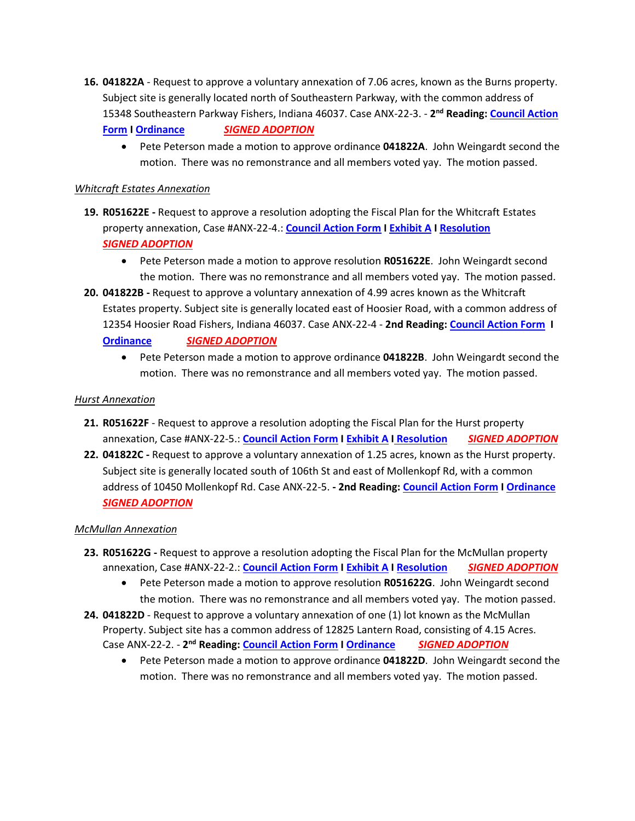**16. 041822A** - Request to approve a voluntary annexation of 7.06 acres, known as the Burns property. Subject site is generally located north of Southeastern Parkway, with the common address of 15348 Southeastern Parkway Fishers, Indiana 46037. Case ANX-22-3. - **2 nd Reading[: Council Action](https://www.fishers.in.us/DocumentCenter/View/30438/Burns-Property-Annex---Council-Action-Form---041822A---Final-Reading)** 

**[Form](https://www.fishers.in.us/DocumentCenter/View/30438/Burns-Property-Annex---Council-Action-Form---041822A---Final-Reading) [I Ordinance](https://www.fishers.in.us/DocumentCenter/View/30439/Burns-Property-Annex---Ordinance---041822A---Final-Reading)** *[SIGNED ADOPTION](https://www.fishers.in.us/DocumentCenter/View/30526/Signed-Adoption---Burns-Property-Annex---Ordinance---041822A---Final-Reading)*

• Pete Peterson made a motion to approve ordinance **041822A**. John Weingardt second the motion. There was no remonstrance and all members voted yay. The motion passed.

#### *Whitcraft Estates Annexation*

- **19. R051622E -** Request to approve a resolution adopting the Fiscal Plan for the Whitcraft Estates property annexation, Case #ANX-22-4.: **[Council Action Form](https://www.fishers.in.us/DocumentCenter/View/30430/Whitcraft-Estates-Fiscal-Plan---Council-Action-Form---R051622E) [I Exhibit A](https://www.fishers.in.us/DocumentCenter/View/30431/Whitcraft-Estates-Fiscal-Plan---Fiscal-Plan---R051622E) I [Resolution](https://www.fishers.in.us/DocumentCenter/View/30432/Whitcraft-Estates-Fiscal-Plan---Resolution---R051622E)** *[SIGNED ADOPTION](https://www.fishers.in.us/DocumentCenter/View/30520/Signed-Adoption---Whitcraft-Estates-Fiscal-Plan---Ordinance---R051622E)*
	- Pete Peterson made a motion to approve resolution **R051622E**. John Weingardt second the motion. There was no remonstrance and all members voted yay. The motion passed.
- **20. 041822B -** Request to approve a voluntary annexation of 4.99 acres known as the Whitcraft Estates property. Subject site is generally located east of Hoosier Road, with a common address of 12354 Hoosier Road Fishers, Indiana 46037. Case ANX-22-4 - **2nd Reading[: Council Action Form](https://www.fishers.in.us/DocumentCenter/View/30428/Whitcraft-Estates-Annex---Council-Action-Form---041822B---Final-Reading) I [Ordinance](https://www.fishers.in.us/DocumentCenter/View/30429/Whitcraft-Estates-Annex---Ordinance---041822B---Final-Reading)** *[SIGNED ADOPTION](https://www.fishers.in.us/DocumentCenter/View/30521/Signed-Adoption---Whitecraft-Estates-Annes---Ordinance---041822B)*
	- Pete Peterson made a motion to approve ordinance **041822B**. John Weingardt second the motion. There was no remonstrance and all members voted yay. The motion passed.

#### *Hurst Annexation*

- **21. R051622F**  Request to approve a resolution adopting the Fiscal Plan for the Hurst property annexation, Case #ANX-22-5.: **[Council Action Form](https://www.fishers.in.us/DocumentCenter/View/30448/Hurst-Property-Fiscal-Plan---Council-Action-Form---R051622F) I [Exhibit A](https://www.fishers.in.us/DocumentCenter/View/30449/Hurst-Property-Fiscal-Plan---Fiscal-Plan---R051622F) I [Resolution](https://www.fishers.in.us/DocumentCenter/View/30450/Hurst-Property-Fiscal-Plan---Resolution---R051622F)** *[SIGNED ADOPTION](https://www.fishers.in.us/DocumentCenter/View/30530/Signed-Adoption---Hurst-Property-Fiscal-Plan---Resolution---R051622F)*
- **22. 041822C -** Request to approve a voluntary annexation of 1.25 acres, known as the Hurst property. Subject site is generally located south of 106th St and east of Mollenkopf Rd, with a common address of 10450 Mollenkopf Rd. Case ANX-22-5. **- 2nd Reading[: Council Action Form](https://www.fishers.in.us/DocumentCenter/View/30446/Hurst-Property-Annex---Council-Action-Form---041822C---Final-Reading) [I Ordinance](https://www.fishers.in.us/DocumentCenter/View/30447/Hurst-Property-Annex---Ordinance---041822C---Final-Reading)** *[SIGNED ADOPTION](https://www.fishers.in.us/DocumentCenter/View/30529/Signed-Adoption---Hurst-Property-Annex---Ordinance---041822C---Final-Reading)*

#### *McMullan Annexation*

- **23. R051622G -** Request to approve a resolution adopting the Fiscal Plan for the McMullan property annexation, Case #ANX-22-2.: **[Council Action Form](https://www.fishers.in.us/DocumentCenter/View/30453/McMullan-Fiscal-Plan---Council-Action-Form---R051622G) I [Exhibit A](https://www.fishers.in.us/DocumentCenter/View/30454/McMullan-Fiscal-Plan---Fiscal-Plan---R051622G) [I Resolution](https://www.fishers.in.us/DocumentCenter/View/30455/McMullan-Fiscal-Plan---Resolution---R051622G)** *[SIGNED ADOPTION](https://www.fishers.in.us/DocumentCenter/View/30531/Signed-Adoption---McMullan-Fiscal-Plan---Resolution---R051622G)*
	- Pete Peterson made a motion to approve resolution **R051622G**. John Weingardt second the motion. There was no remonstrance and all members voted yay. The motion passed.
- **24. 041822D**  Request to approve a voluntary annexation of one (1) lot known as the McMullan Property. Subject site has a common address of 12825 Lantern Road, consisting of 4.15 Acres. Case ANX-22-2. - **2 nd Reading: [Council Action Form](https://www.fishers.in.us/DocumentCenter/View/30456/McMullan-Property-Annex---Council-Action-Form---041822D---Final-Reading) I [Ordinance](https://www.fishers.in.us/DocumentCenter/View/30457/McMullan-Property-Annex---Ordinance---041822D---Final-Reading)** *[SIGNED ADOPTION](https://www.fishers.in.us/DocumentCenter/View/30532/Signed-Adoption---McMullan-Property-Annex---Ordinance---041822D---Final-Reading)*
	- Pete Peterson made a motion to approve ordinance **041822D**. John Weingardt second the motion. There was no remonstrance and all members voted yay. The motion passed.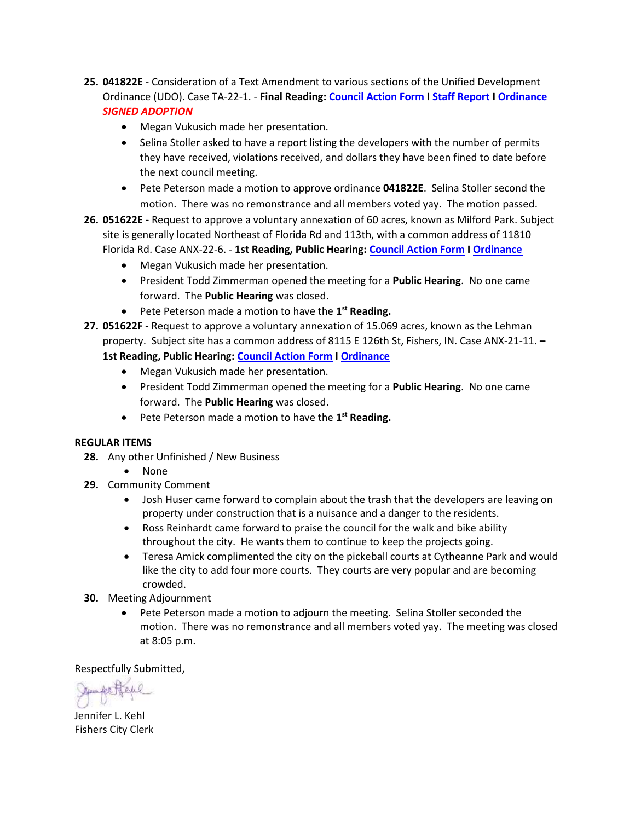- **25. 041822E** Consideration of a Text Amendment to various sections of the Unified Development Ordinance (UDO). Case TA-22-1. - **Final Reading: [Council Action Form](https://www.fishers.in.us/DocumentCenter/View/30425/UDO-Text-Amendment---Council-Action-Form---041822E---Final-Reading) I [Staff Report](https://www.fishers.in.us/DocumentCenter/View/30427/UDO-Text-Amendment---Staff-Report---041822E---Final-Reading) I [Ordinance](https://www.fishers.in.us/DocumentCenter/View/30426/UDO-Text-Amendment---Ordinance---041822E---Final-Reading)** *[SIGNED ADOPTION](https://www.fishers.in.us/DocumentCenter/View/30519/Signed-Adoption---UDO-Text-Amendment---Ordinance---041822E)*
	- Megan Vukusich made her presentation.
	- Selina Stoller asked to have a report listing the developers with the number of permits they have received, violations received, and dollars they have been fined to date before the next council meeting.
	- Pete Peterson made a motion to approve ordinance **041822E**. Selina Stoller second the motion. There was no remonstrance and all members voted yay. The motion passed.
- **26. 051622E -** Request to approve a voluntary annexation of 60 acres, known as Milford Park. Subject site is generally located Northeast of Florida Rd and 113th, with a common address of 11810 Florida Rd. Case ANX-22-6. - **1st Reading, Public Hearing: [Council Action Form](https://www.fishers.in.us/DocumentCenter/View/30460/Milford-Park-Annex---Council-Action-Form---051622E) I [Ordinance](https://www.fishers.in.us/DocumentCenter/View/30461/Milford-Park-Annex---Ordinance---051622E)**
	- Megan Vukusich made her presentation.
	- President Todd Zimmerman opened the meeting for a **Public Hearing**. No one came forward. The **Public Hearing** was closed.
	- **•** Pete Peterson made a motion to have the 1<sup>st</sup> Reading.
- **27. 051622F -** Request to approve a voluntary annexation of 15.069 acres, known as the Lehman property. Subject site has a common address of 8115 E 126th St, Fishers, IN. Case ANX-21-11. **–**
	- **1st Reading, Public Hearing: [Council Action Form](https://www.fishers.in.us/DocumentCenter/View/30452/Lehman-Property-Annex---Council-Action-Form---051622F) [I Ordinance](https://www.fishers.in.us/DocumentCenter/View/30451/Lehman-Property---Ordinance---051622F)** 
		- Megan Vukusich made her presentation.
		- President Todd Zimmerman opened the meeting for a **Public Hearing**. No one came forward. The **Public Hearing** was closed.
		- **•** Pete Peterson made a motion to have the 1<sup>st</sup> Reading.

#### **REGULAR ITEMS**

- **28.** Any other Unfinished / New Business
	- None
- **29.** Community Comment
	- Josh Huser came forward to complain about the trash that the developers are leaving on property under construction that is a nuisance and a danger to the residents.
	- Ross Reinhardt came forward to praise the council for the walk and bike ability throughout the city. He wants them to continue to keep the projects going.
	- Teresa Amick complimented the city on the pickeball courts at Cytheanne Park and would like the city to add four more courts. They courts are very popular and are becoming crowded.
- **30.** Meeting Adjournment
	- Pete Peterson made a motion to adjourn the meeting. Selina Stoller seconded the motion. There was no remonstrance and all members voted yay. The meeting was closed at 8:05 p.m.

Respectfully Submitted,

Junke

Jennifer L. Kehl Fishers City Clerk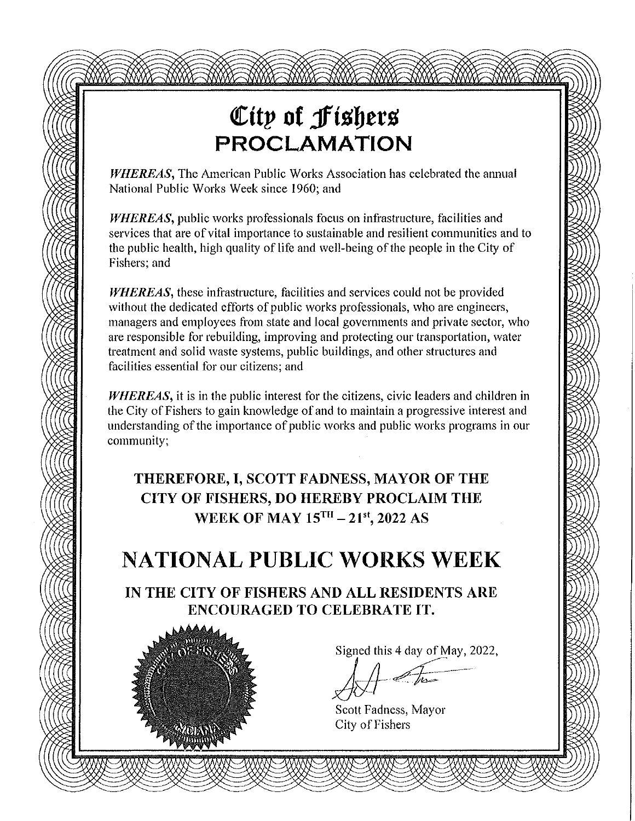# City of Fishers **PROCLAMATION**

**WHEREAS, The American Public Works Association has celebrated the annual** National Public Works Week since 1960; and

WHEREAS, public works professionals focus on infrastructure, facilities and services that are of vital importance to sustainable and resilient communities and to the public health, high quality of life and well-being of the people in the City of Fishers; and

**WHEREAS**, these infrastructure, facilities and services could not be provided without the dedicated efforts of public works professionals, who are engineers, managers and employees from state and local governments and private sector, who are responsible for rebuilding, improving and protecting our transportation, water treatment and solid waste systems, public buildings, and other structures and facilities essential for our citizens; and

WHEREAS, it is in the public interest for the citizens, civic leaders and children in the City of Fishers to gain knowledge of and to maintain a progressive interest and understanding of the importance of public works and public works programs in our community:

THEREFORE, I, SCOTT FADNESS, MAYOR OF THE CITY OF FISHERS, DO HEREBY PROCLAIM THE WEEK OF MAY 15TH - 21st, 2022 AS

## **NATIONAL PUBLIC WORKS WEEK**

IN THE CITY OF FISHERS AND ALL RESIDENTS ARE ENCOURAGED TO CELEBRATE IT.



Signed this 4 day of May, 2022,

Scott Fadness, Mayor City of Fishers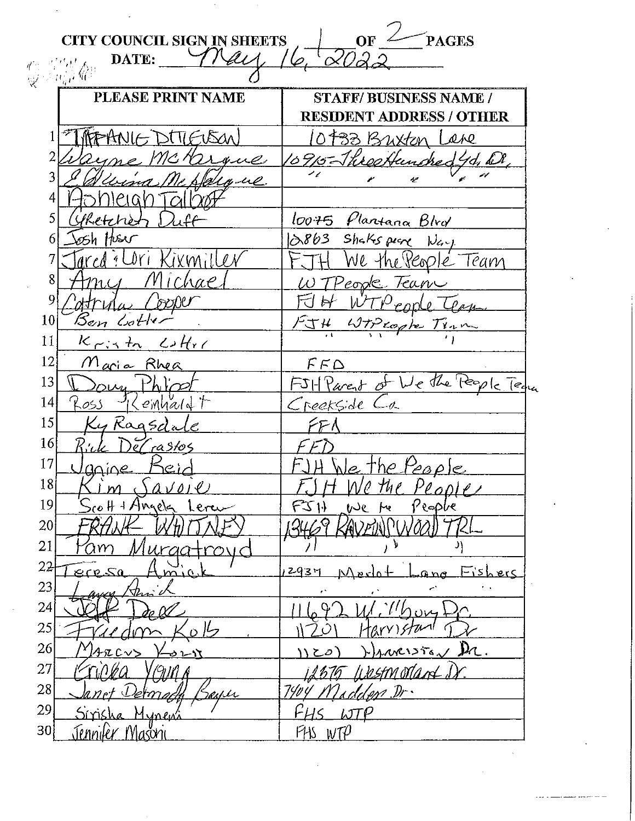|                       | <b>CITY COUNCIL SIGN IN SHEETS</b> | OF<br><b>PAGES</b>                                              |
|-----------------------|------------------------------------|-----------------------------------------------------------------|
|                       | DATE:<br>变成成金                      |                                                                 |
|                       | PLEASE PRINT NAME                  |                                                                 |
|                       |                                    | <b>STAFF/BUSINESS NAME /</b><br><b>RESIDENT ADDRESS / OTHER</b> |
|                       |                                    |                                                                 |
| 2                     | 1550A)                             | 0 1933 Buxton<br>$\mathcal{A}\mathcal{A}\mathcal{Q}$            |
| 3                     | ue                                 |                                                                 |
| 4                     | $\mu\rho$ .                        | n                                                               |
| 5                     |                                    |                                                                 |
|                       | Sketche<br>Husri                   | loo75 Plantana Blvd<br>Shaks pear<br>863,                       |
| h                     |                                    |                                                                 |
| 8                     |                                    | Team<br>re Veople                                               |
| 9                     | hae                                | Teav<br>'eorde                                                  |
| 10                    |                                    |                                                                 |
| 11                    | lSen Lotl                          | $-7.5$<br>Lopte Time                                            |
| 12                    | $L H_{X}$<br>$K_{\mathcal{F}}$ is  |                                                                 |
| 13                    | Maria Rhea                         | $F$ F $\triangle$                                               |
| 14                    |                                    | We the People Ted<br>$FSH$ Parent of                            |
| 15                    | $en$ hald $\uparrow$<br>Kos        | Creekside<br>$-\theta$                                          |
| 16                    | , Ragsda                           |                                                                 |
| 17                    | ra31o5                             |                                                                 |
| 18                    | anine<br>JC iv                     | <u>re People</u><br>$\rho$ , Ti                                 |
|                       | $(0 \ell)$                         | o the People                                                    |
| 19<br>20 <sub>l</sub> | $H + A$ ngela<br>Leru              | People<br>We<br>ŀч                                              |
|                       |                                    |                                                                 |
| 21                    |                                    |                                                                 |
| 22                    | mio k<br>ecp 50                    | Eishers<br>2934                                                 |
| 23                    |                                    |                                                                 |
| 24                    |                                    |                                                                 |
| 25<br>26              |                                    |                                                                 |
|                       |                                    | $D_{\text{L}}$<br>$maxis_{\lambda}/$                            |
| 27                    |                                    | i kestmordant Di                                                |
| 28                    |                                    | 'est Dr                                                         |
| 29                    | Sm<br>Mynew                        | LT                                                              |
| 30 <sup>1</sup>       | <u>Jennifer Masoni</u>             | P115 W1P                                                        |

 $\bar{z}$ 

÷,

 $\sim$